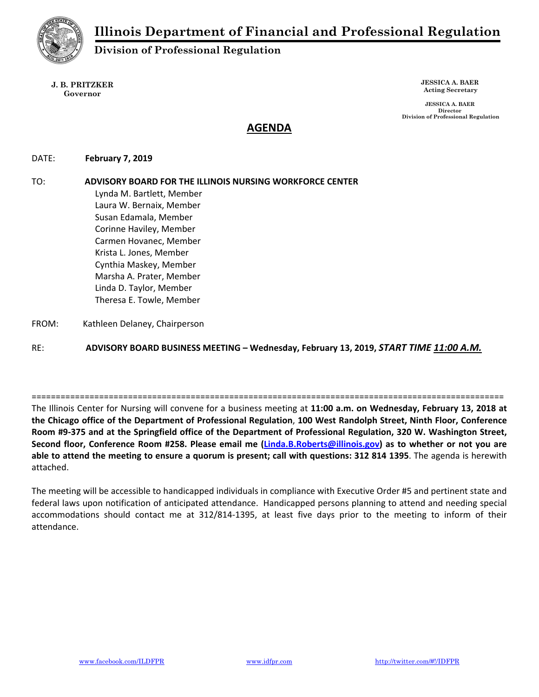

# **Division of Professional Regulation**

**J. B. PRITZKER Governor** 

**JESSICA A. BAER Acting Secretary** 

 **JESSICA A. BAER Director Division of Professional Regulation** 

## **AGENDA**

DATE:  **February 7, 2019** 

TO: **ADVISORY BOARD FOR THE ILLINOIS NURSING WORKFORCE CENTER** Lynda M. Bartlett, Member Laura W. Bernaix, Member Susan Edamala, Member Corinne Haviley, Member Carmen Hovanec, Member Krista L. Jones, Member Cynthia Maskey, Member Marsha A. Prater, Member Linda D. Taylor, Member Theresa E. Towle, Member FROM: Kathleen Delaney, Chairperson

RE: **ADVISORY BOARD BUSINESS MEETING – Wednesday, February 13, 2019,** *START TIME 11:00 A.M.*

The Illinois Center for Nursing will convene for a business meeting at **11:00 a.m. on Wednesday, February 13, 2018 at the Chicago office of the Department of Professional Regulation**, **100 West Randolph Street, Ninth Floor, Conference Room #9‐375 and at the Springfield office of the Department of Professional Regulation, 320 W. Washington Street, Second floor, Conference Room #258. Please email me (Linda.B.Roberts@illinois.gov) as to whether or not you are able to attend the meeting to ensure a quorum is present; call with questions: 312 814 1395**. The agenda is herewith attached.

==================================================================================================

The meeting will be accessible to handicapped individuals in compliance with Executive Order #5 and pertinent state and federal laws upon notification of anticipated attendance. Handicapped persons planning to attend and needing special accommodations should contact me at 312/814‐1395, at least five days prior to the meeting to inform of their attendance.